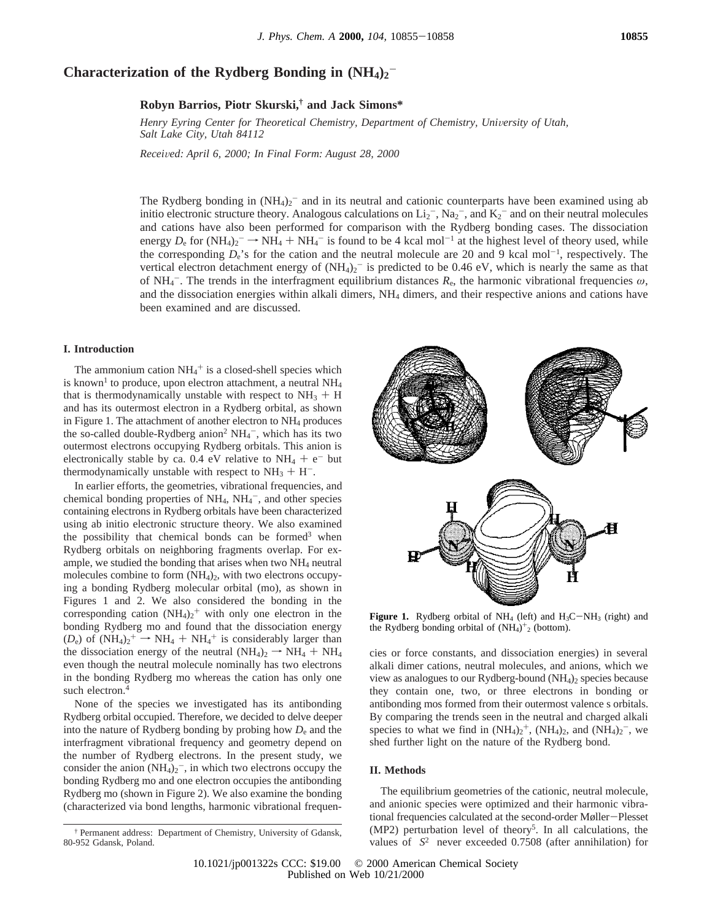# Characterization of the Rydberg Bonding in  $(NH_4)_2$ <sup>-</sup>

**Robyn Barrios, Piotr Skurski,† and Jack Simons\***

Henry Eyring Center for Theoretical Chemistry, Department of Chemistry, University of Utah, *Salt Lake City, Utah 84112*

*Recei*V*ed: April 6, 2000; In Final Form: August 28, 2000*

The Rydberg bonding in  $(NH_4)_2$ <sup>-</sup> and in its neutral and cationic counterparts have been examined using ab initio electronic structure theory. Analogous calculations on  $Li_2^-$ ,  $Na_2^-$ , and  $K_2^-$  and on their neutral molecules and cations have also been performed for comparison with the Rydberg bonding cases. The dissociation energy  $D_e$  for  $(NH_4)_2^- \rightarrow N\dot{H}_4 + N\dot{H}_4^-$  is found to be 4 kcal mol<sup>-1</sup> at the highest level of theory used, while the corresponding  $D_e$ 's for the cation and the neutral molecule are 20 and 9 kcal mol<sup>-1</sup>, respectively. The vertical electron detachment energy of  $(NH_4)_2$ <sup>-</sup> is predicted to be 0.46 eV, which is nearly the same as that of NH<sub>4</sub><sup>-</sup>. The trends in the interfragment equilibrium distances  $R_e$ , the harmonic vibrational frequencies  $\omega$ , and the dissociation energies within alkali dimers, NH4 dimers, and their respective anions and cations have been examined and are discussed.

#### **I. Introduction**

The ammonium cation  $NH_4^+$  is a closed-shell species which is known<sup>1</sup> to produce, upon electron attachment, a neutral  $NH<sub>4</sub>$ that is thermodynamically unstable with respect to  $NH<sub>3</sub> + H$ and has its outermost electron in a Rydberg orbital, as shown in Figure 1. The attachment of another electron to  $NH<sub>4</sub>$  produces the so-called double-Rydberg anion<sup>2</sup>  $NH_4^-$ , which has its two outermost electrons occupying Rydberg orbitals. This anion is electronically stable by ca. 0.4 eV relative to  $NH_4 + e^-$  but thermodynamically unstable with respect to  $NH<sub>3</sub> + H<sup>-</sup>$ .

In earlier efforts, the geometries, vibrational frequencies, and chemical bonding properties of  $NH_4$ ,  $NH_4^-$ , and other species containing electrons in Rydberg orbitals have been characterized using ab initio electronic structure theory. We also examined the possibility that chemical bonds can be formed $3$  when Rydberg orbitals on neighboring fragments overlap. For example, we studied the bonding that arises when two  $NH<sub>4</sub>$  neutral molecules combine to form (NH<sub>4</sub>)<sub>2</sub>, with two electrons occupying a bonding Rydberg molecular orbital (mo), as shown in Figures 1 and 2. We also considered the bonding in the corresponding cation  $(NH_4)_2$ <sup>+</sup> with only one electron in the bonding Rydberg mo and found that the dissociation energy  $(D_e)$  of  $(NH_4)_2^+ \rightarrow NH_4 + NH_4^+$  is considerably larger than<br>the dissociation energy of the neutral  $(NH_e) \rightarrow NH_4 + NH_4$ the dissociation energy of the neutral  $(NH_4)_2 \rightarrow NH_4 + NH_4$ even though the neutral molecule nominally has two electrons in the bonding Rydberg mo whereas the cation has only one such electron.<sup>4</sup>

None of the species we investigated has its antibonding Rydberg orbital occupied. Therefore, we decided to delve deeper into the nature of Rydberg bonding by probing how *D*<sup>e</sup> and the interfragment vibrational frequency and geometry depend on the number of Rydberg electrons. In the present study, we consider the anion  $(NH_4)_2$ <sup>-</sup>, in which two electrons occupy the bonding Rydberg mo and one electron occupies the antibonding Rydberg mo (shown in Figure 2). We also examine the bonding (characterized via bond lengths, harmonic vibrational frequen-





**Figure 1.** Rydberg orbital of  $NH_4$  (left) and  $H_3C-NH_3$  (right) and the Rydberg bonding orbital of  $(NH<sub>4</sub>)<sup>+</sup><sub>2</sub>$  (bottom).

cies or force constants, and dissociation energies) in several alkali dimer cations, neutral molecules, and anions, which we view as analogues to our Rydberg-bound  $(NH<sub>4</sub>)<sub>2</sub>$  species because they contain one, two, or three electrons in bonding or antibonding mos formed from their outermost valence s orbitals. By comparing the trends seen in the neutral and charged alkali species to what we find in  $(NH_4)_2^+$ ,  $(NH_4)_2$ , and  $(NH_4)_2^-$ , we shed further light on the nature of the Rydberg bond.

### **II. Methods**

The equilibrium geometries of the cationic, neutral molecule, and anionic species were optimized and their harmonic vibrational frequencies calculated at the second-order Møller-Plesset (MP2) perturbation level of theory<sup>5</sup>. In all calculations, the values of  $\langle S^2 \rangle$  never exceeded 0.7508 (after annihilation) for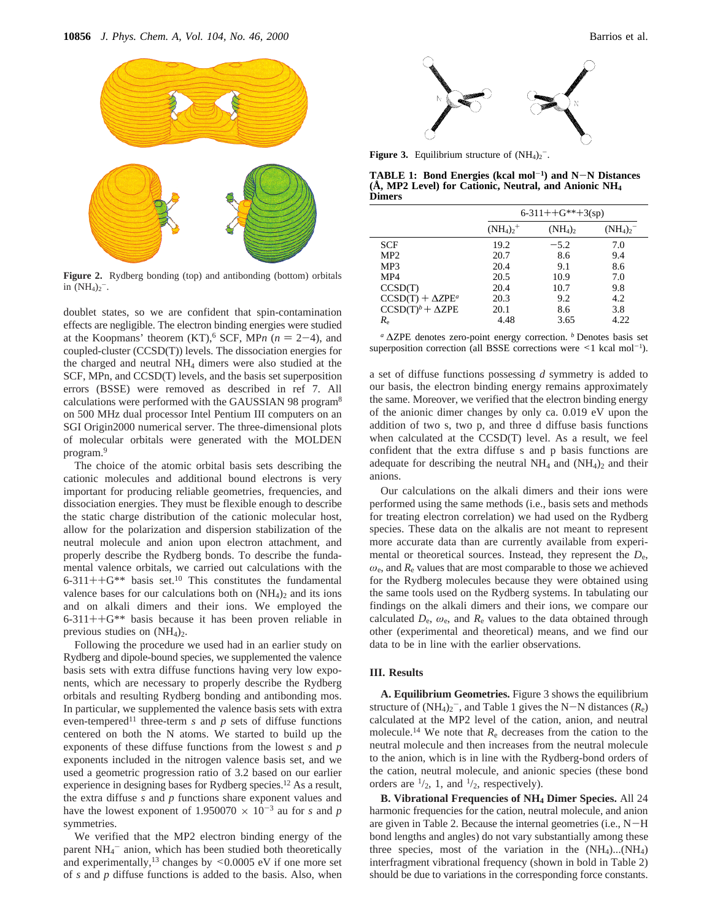

**Figure 2.** Rydberg bonding (top) and antibonding (bottom) orbitals in  $(NH_4)_2$ <sup>-</sup>.

doublet states, so we are confident that spin-contamination effects are negligible. The electron binding energies were studied at the Koopmans' theorem  $(KT)$ , SCF, MP*n* ( $n = 2-4$ ), and coupled-cluster (CCSD(T)) levels. The dissociation energies for the charged and neutral NH4 dimers were also studied at the SCF, MPn, and CCSD(T) levels, and the basis set superposition errors (BSSE) were removed as described in ref 7. All calculations were performed with the GAUSSIAN 98 program<sup>8</sup> on 500 MHz dual processor Intel Pentium III computers on an SGI Origin2000 numerical server. The three-dimensional plots of molecular orbitals were generated with the MOLDEN program.9

The choice of the atomic orbital basis sets describing the cationic molecules and additional bound electrons is very important for producing reliable geometries, frequencies, and dissociation energies. They must be flexible enough to describe the static charge distribution of the cationic molecular host, allow for the polarization and dispersion stabilization of the neutral molecule and anion upon electron attachment, and properly describe the Rydberg bonds. To describe the fundamental valence orbitals, we carried out calculations with the 6-311++ $G^{**}$  basis set.<sup>10</sup> This constitutes the fundamental valence bases for our calculations both on  $(NH_4)$ <sub>2</sub> and its ions and on alkali dimers and their ions. We employed the 6-311++G\*\* basis because it has been proven reliable in previous studies on  $(NH<sub>4</sub>)<sub>2</sub>$ .

Following the procedure we used had in an earlier study on Rydberg and dipole-bound species, we supplemented the valence basis sets with extra diffuse functions having very low exponents, which are necessary to properly describe the Rydberg orbitals and resulting Rydberg bonding and antibonding mos. In particular, we supplemented the valence basis sets with extra even-tempered<sup>11</sup> three-term *s* and *p* sets of diffuse functions centered on both the N atoms. We started to build up the exponents of these diffuse functions from the lowest *s* and *p* exponents included in the nitrogen valence basis set, and we used a geometric progression ratio of 3.2 based on our earlier experience in designing bases for Rydberg species.12 As a result, the extra diffuse *s* and *p* functions share exponent values and have the lowest exponent of 1.950070  $\times$  10<sup>-3</sup> au for *s* and *p* symmetries.

We verified that the MP2 electron binding energy of the parent NH<sub>4</sub><sup>-</sup> anion, which has been studied both theoretically and experimentally,<sup>13</sup> changes by  $\leq 0.0005$  eV if one more set of *s* and *p* diffuse functions is added to the basis. Also, when



**Figure 3.** Equilibrium structure of  $(NH_4)_2$ <sup>-</sup>.

**TABLE 1: Bond Energies (kcal mol**-**1) and N**-**N Distances (Å, MP2 Level) for Cationic, Neutral, and Anionic NH4 Dimers**

|                          | $6-311++G^{**}+3(sp)$ |          |              |
|--------------------------|-----------------------|----------|--------------|
|                          | $(NH_4)_2^+$          | $(NH_4)$ | $(NH_4)_2^-$ |
| <b>SCF</b>               | 19.2                  | $-5.2$   | 7.0          |
| MP <sub>2</sub>          | 20.7                  | 8.6      | 9.4          |
| MP3                      | 20.4                  | 9.1      | 8.6          |
| MP4                      | 20.5                  | 10.9     | 7.0          |
| CCSD(T)                  | 20.4                  | 10.7     | 9.8          |
| $CCSD(T) + \Delta ZPE^a$ | 20.3                  | 9.2      | 4.2          |
| $CCSD(T)^b + \Delta ZPE$ | 20.1                  | 8.6      | 3.8          |
| $R_{\rm e}$              | 4.48                  | 3.65     | 4.22         |

*<sup>a</sup>* ∆ZPE denotes zero-point energy correction. *<sup>b</sup>* Denotes basis set superposition correction (all BSSE corrections were  $\leq 1$  kcal mol<sup>-1</sup>).

a set of diffuse functions possessing *d* symmetry is added to our basis, the electron binding energy remains approximately the same. Moreover, we verified that the electron binding energy of the anionic dimer changes by only ca. 0.019 eV upon the addition of two s, two p, and three d diffuse basis functions when calculated at the CCSD(T) level. As a result, we feel confident that the extra diffuse s and p basis functions are adequate for describing the neutral  $NH_4$  and  $(NH_4)_2$  and their anions.

Our calculations on the alkali dimers and their ions were performed using the same methods (i.e., basis sets and methods for treating electron correlation) we had used on the Rydberg species. These data on the alkalis are not meant to represent more accurate data than are currently available from experimental or theoretical sources. Instead, they represent the *D*e,  $\omega_e$ , and  $R_e$  values that are most comparable to those we achieved for the Rydberg molecules because they were obtained using the same tools used on the Rydberg systems. In tabulating our findings on the alkali dimers and their ions, we compare our calculated  $D_e$ ,  $\omega_e$ , and  $R_e$  values to the data obtained through other (experimental and theoretical) means, and we find our data to be in line with the earlier observations.

## **III. Results**

**A. Equilibrium Geometries.** Figure 3 shows the equilibrium structure of  $(NH_4)_2$ <sup>-</sup>, and Table 1 gives the N-N distances  $(R_e)$ <br>calculated at the MP2 level of the cation, anion, and neutral calculated at the MP2 level of the cation, anion, and neutral molecule.14 We note that *R*<sup>e</sup> decreases from the cation to the neutral molecule and then increases from the neutral molecule to the anion, which is in line with the Rydberg-bond orders of the cation, neutral molecule, and anionic species (these bond orders are  $\frac{1}{2}$ , 1, and  $\frac{1}{2}$ , respectively).

**B. Vibrational Frequencies of NH4 Dimer Species.** All 24 harmonic frequencies for the cation, neutral molecule, and anion are given in Table 2. Because the internal geometries (i.e., N-<sup>H</sup> bond lengths and angles) do not vary substantially among these three species, most of the variation in the  $(NH_4)...(NH_4)$ interfragment vibrational frequency (shown in bold in Table 2) should be due to variations in the corresponding force constants.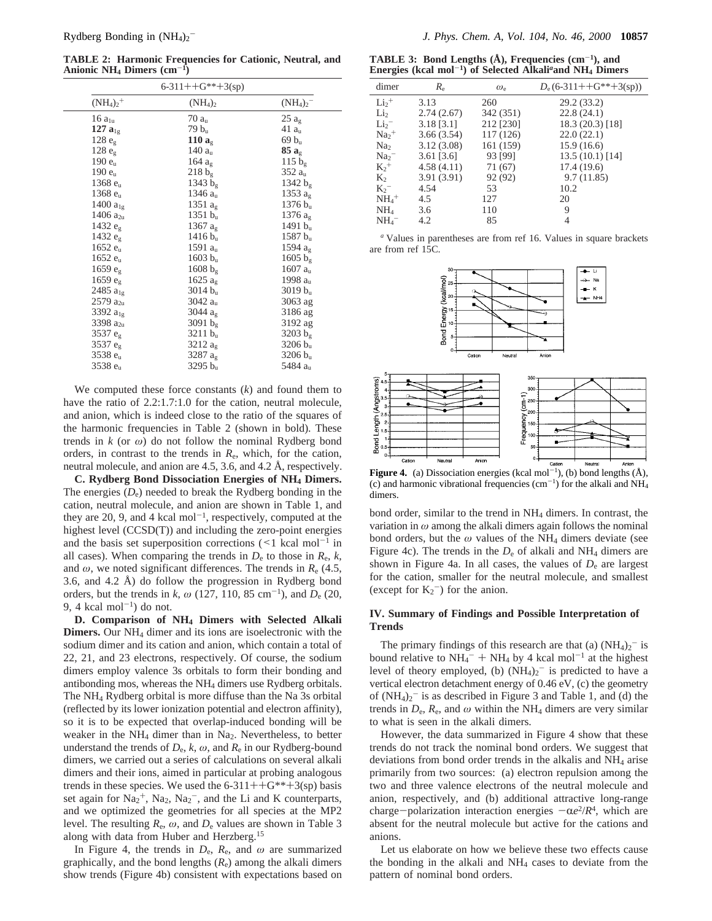**TABLE 2: Harmonic Frequencies for Cationic, Neutral, and Anionic NH4 Dimers (cm**-**1)**

|                      | $6-311++G^{**}+3(sp)$ |                     |
|----------------------|-----------------------|---------------------|
| $(NH_4)_2^+$         | $(NH_4)_2$            | $(NH_4)_2^-$        |
| $16a_{1u}$           | 70a <sub>u</sub>      | $25a_g$             |
| 127 $a_{1g}$         | $79 b_u$              | 41a <sub>u</sub>    |
| 128 e <sub>g</sub>   | 110 $ag$              | $69 b_u$            |
| 128 e <sub>g</sub>   | 140 $au$              | $85a_g$             |
| 190 e <sub>u</sub>   | 164 $a_{\rm g}$       | 115 $b_g$           |
| $190e_n$             | $218 b_g$             | 352 au              |
| 1368 e <sub>u</sub>  | 1343 $b_{\rm g}$      | 1342 $b_{\rm g}$    |
| 1368 e <sub>u</sub>  | 1346 a <sub>u</sub>   | 1353 $a_{g}$        |
| 1400 $a_{1g}$        | 1351 $a_{\rm g}$      | 1376 b <sub>n</sub> |
| 1406 $a_{2u}$        | $1351 b_n$            | 1376 $a_{\rm g}$    |
| 1432 eg              | 1367 $a_{\rm g}$      | 1491 $b_u$          |
| 1432 $e_{\rm g}$     | $1416 b_u$            | 1587 b <sub>u</sub> |
| 1652 e <sub>u</sub>  | 1591 $a_u$            | 1594 $a_{\rm g}$    |
| 1652 e <sub>u</sub>  | $1603 b_n$            | 1605 $b_{\rm g}$    |
| 1659 $e_{\rm g}$     | 1608 $b_{\rm g}$      | 1607 a <sub>u</sub> |
| $1659 e_{g}$         | 1625 a <sub>o</sub>   | 1998 $au$           |
| 2485 a <sub>1g</sub> | $3014 b_u$            | $3019 b_u$          |
| $2579 a_{2u}$        | 3042 $au$             | 3063 ag             |
| 3392 a <sub>1g</sub> | 3044 $a_{\rm g}$      | 3186 ag             |
| 3398 a <sub>2u</sub> | 3091 $b_g$            | 3192 ag             |
| 3537 eg              | 3211 b <sub>u</sub>   | 3203 b <sub>9</sub> |
| 3537 eg              | 3212 $a_{\rm g}$      | $3206 b_u$          |
| 3538 e <sub>u</sub>  | 3287 ag               | $3206 b_u$          |
| 3538 $e_u$           | $3295 b_u$            | 5484 a <sub>u</sub> |

We computed these force constants (*k*) and found them to have the ratio of 2.2:1.7:1.0 for the cation, neutral molecule, and anion, which is indeed close to the ratio of the squares of the harmonic frequencies in Table 2 (shown in bold). These trends in  $k$  (or  $\omega$ ) do not follow the nominal Rydberg bond orders, in contrast to the trends in  $R_{e}$ , which, for the cation, neutral molecule, and anion are 4.5, 3.6, and 4.2 Å, respectively.

**C. Rydberg Bond Dissociation Energies of NH4 Dimers.** The energies  $(D_e)$  needed to break the Rydberg bonding in the cation, neutral molecule, and anion are shown in Table 1, and they are 20, 9, and 4 kcal mol<sup> $-1$ </sup>, respectively, computed at the highest level (CCSD(T)) and including the zero-point energies and the basis set superposition corrections  $\leq 1$  kcal mol<sup>-1</sup> in all cases). When comparing the trends in  $D_e$  to those in  $R_e$ ,  $k$ , and  $\omega$ , we noted significant differences. The trends in  $R_{e}$  (4.5, 3.6, and 4.2 Å) do follow the progression in Rydberg bond orders, but the trends in *k*,  $\omega$  (127, 110, 85 cm<sup>-1</sup>), and  $D_e$  (20, 9, 4 kcal mol<sup> $-1$ </sup>) do not.

**D. Comparison of NH4 Dimers with Selected Alkali Dimers.** Our NH4 dimer and its ions are isoelectronic with the sodium dimer and its cation and anion, which contain a total of 22, 21, and 23 electrons, respectively. Of course, the sodium dimers employ valence 3s orbitals to form their bonding and antibonding mos, whereas the NH4 dimers use Rydberg orbitals. The NH4 Rydberg orbital is more diffuse than the Na 3s orbital (reflected by its lower ionization potential and electron affinity), so it is to be expected that overlap-induced bonding will be weaker in the NH<sub>4</sub> dimer than in Na<sub>2</sub>. Nevertheless, to better understand the trends of  $D_e$ ,  $k$ ,  $\omega$ , and  $R_e$  in our Rydberg-bound dimers, we carried out a series of calculations on several alkali dimers and their ions, aimed in particular at probing analogous trends in these species. We used the  $6-311++G^{**}+3(sp)$  basis set again for  $Na<sub>2</sub><sup>+</sup>$ ,  $Na<sub>2</sub>$ ,  $Na<sub>2</sub><sup>-</sup>$ , and the Li and K counterparts, and we optimized the geometries for all species at the MP2 level. The resulting  $R_e$ ,  $\omega$ , and  $D_e$  values are shown in Table 3 along with data from Huber and Herzberg.15

In Figure 4, the trends in  $D_e$ ,  $R_e$ , and  $\omega$  are summarized graphically, and the bond lengths  $(R_e)$  among the alkali dimers show trends (Figure 4b) consistent with expectations based on

**TABLE 3: Bond Lengths (Å), Frequencies (cm**-**1), and Energies (kcal mol**-**1) of Selected Alkali***<sup>a</sup>***and NH4 Dimers**

 $\overline{a}$ 

| dimer                       | $R_{\rm e}$      | $\omega_{\rm e}$ | $D_e$ (6-311++G**+3(sp)) |
|-----------------------------|------------------|------------------|--------------------------|
| $Li2$ <sup>+</sup>          | 3.13             | 260              | 29.2 (33.2)              |
| Li <sub>2</sub>             | 2.74(2.67)       | 342 (351)        | 22.8(24.1)               |
| Li <sub>2</sub>             | $3.18$ [3.1]     | 212 [230]        | 18.3 (20.3) [18]         |
| $Na2$ <sup>+</sup>          | 3.66(3.54)       | 117(126)         | 22.0(22.1)               |
| Na <sub>2</sub>             | 3.12(3.08)       | 161 (159)        | 15.9(16.6)               |
| $\text{Na}_2$ <sup>-1</sup> | $3.61$ [ $3.6$ ] | 93 [99]          | 13.5(10.1)[14]           |
| $K_2^+$                     | 4.58(4.11)       | 71(67)           | 17.4(19.6)               |
| $K_2$                       | 3.91(3.91)       | 92 (92)          | 9.7(11.85)               |
| $K_2^-$                     | 4.54             | 53               | 10.2                     |
| $NH_4$ <sup>+</sup>         | 4.5              | 127              | 20                       |
| NH <sub>4</sub>             | 3.6              | 110              | 9                        |
| $NH_4^-$                    | 4.2              | 85               | 4                        |
|                             |                  |                  |                          |

*<sup>a</sup>* Values in parentheses are from ref 16. Values in square brackets are from ref 15C.



**Figure 4.** (a) Dissociation energies (kcal mol<sup>-1</sup>), (b) bond lengths  $(A)$ , (c) and harmonic vibrational frequencies  $(cm<sup>-1</sup>)$  for the alkali and NH<sub>4</sub> dimers.

bond order, similar to the trend in NH4 dimers. In contrast, the variation in *ω* among the alkali dimers again follows the nominal bond orders, but the  $\omega$  values of the NH<sub>4</sub> dimers deviate (see Figure 4c). The trends in the  $D_e$  of alkali and NH<sub>4</sub> dimers are shown in Figure 4a. In all cases, the values of  $D<sub>e</sub>$  are largest for the cation, smaller for the neutral molecule, and smallest (except for  $K_2$ <sup>-</sup>) for the anion.

## **IV. Summary of Findings and Possible Interpretation of Trends**

The primary findings of this research are that (a)  $(NH_4)_2$ <sup>-</sup> is bound relative to  $NH_4^- + NH_4$  by 4 kcal mol<sup>-1</sup> at the highest<br>level of theory employed (b)  $(NH_4)_2^-$  is predicted to have a level of theory employed, (b)  $(NH_4)_2$ <sup>-</sup> is predicted to have a vertical electron detachment energy of 0.46 eV, (c) the geometry of  $(NH_4)_2$ <sup>-</sup> is as described in Figure 3 and Table 1, and (d) the trends in  $D_e$ ,  $R_e$ , and  $\omega$  within the NH<sub>4</sub> dimers are very similar to what is seen in the alkali dimers.

However, the data summarized in Figure 4 show that these trends do not track the nominal bond orders. We suggest that deviations from bond order trends in the alkalis and  $NH<sub>4</sub>$  arise primarily from two sources: (a) electron repulsion among the two and three valence electrons of the neutral molecule and anion, respectively, and (b) additional attractive long-range charge-polarization interaction energies  $-\alpha e^2/R^4$ , which are absent for the neutral molecule but active for the cations and anions.

Let us elaborate on how we believe these two effects cause the bonding in the alkali and  $NH<sub>4</sub>$  cases to deviate from the pattern of nominal bond orders.